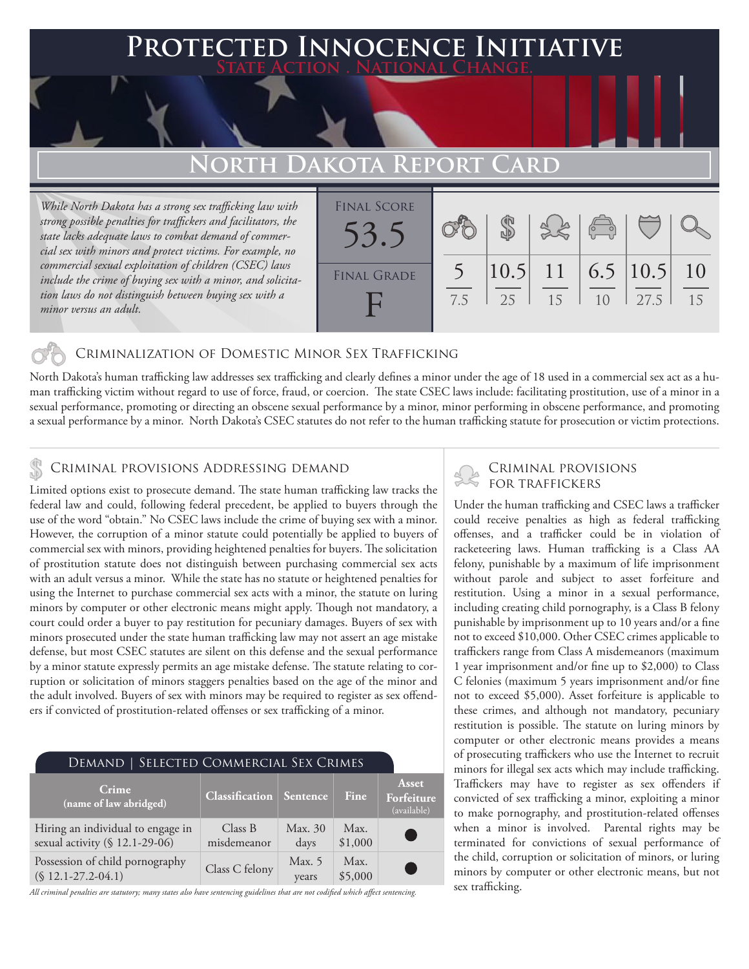## **PTED INNOCENCE INITIATIVE State Action . National Change.**

# **North Dakota Report Card**

*While North Dakota has a strong sex trafficking law with strong possible penalties for traffickers and facilitators, the state lacks adequate laws to combat demand of commercial sex with minors and protect victims. For example, no commercial sexual exploitation of children (CSEC) laws include the crime of buying sex with a minor, and solicitation laws do not distinguish between buying sex with a minor versus an adult.*



### Criminalization of Domestic Minor Sex Trafficking

North Dakota's human trafficking law addresses sex trafficking and clearly defines a minor under the age of 18 used in a commercial sex act as a human trafficking victim without regard to use of force, fraud, or coercion. The state CSEC laws include: facilitating prostitution, use of a minor in a sexual performance, promoting or directing an obscene sexual performance by a minor, minor performing in obscene performance, and promoting a sexual performance by a minor. North Dakota's CSEC statutes do not refer to the human trafficking statute for prosecution or victim protections.

# CRIMINAL PROVISIONS ADDRESSING DEMAND<br>I imited options arist to processure demand The state human trafficking law tracks the FOR TRAFFICKERS

Limited options exist to prosecute demand. The state human trafficking law tracks the federal law and could, following federal precedent, be applied to buyers through the use of the word "obtain." No CSEC laws include the crime of buying sex with a minor. However, the corruption of a minor statute could potentially be applied to buyers of commercial sex with minors, providing heightened penalties for buyers. The solicitation of prostitution statute does not distinguish between purchasing commercial sex acts with an adult versus a minor. While the state has no statute or heightened penalties for using the Internet to purchase commercial sex acts with a minor, the statute on luring minors by computer or other electronic means might apply. Though not mandatory, a court could order a buyer to pay restitution for pecuniary damages. Buyers of sex with minors prosecuted under the state human trafficking law may not assert an age mistake defense, but most CSEC statutes are silent on this defense and the sexual performance by a minor statute expressly permits an age mistake defense. The statute relating to corruption or solicitation of minors staggers penalties based on the age of the minor and the adult involved. Buyers of sex with minors may be required to register as sex offenders if convicted of prostitution-related offenses or sex trafficking of a minor.

| DEMAND   SELECTED COMMERCIAL SEX CRIMES                             |                                |                 |                 |                                    |
|---------------------------------------------------------------------|--------------------------------|-----------------|-----------------|------------------------------------|
| Crime<br>(name of law abridged)                                     | <b>Classification</b> Sentence |                 | Fine            | Asset<br>Forfeiture<br>(available) |
| Hiring an individual to engage in<br>sexual activity (§ 12.1-29-06) | Class B<br>misdemeanor         | Max. 30<br>days | Max.<br>\$1,000 |                                    |
| Possession of child pornography<br>$(S 12.1 - 27.2 - 04.1)$         | Class C felony                 | Max. 5<br>years | Max.<br>\$5,000 |                                    |

*All criminal penalties are statutory; many states also have sentencing guidelines that are not codified which affect sentencing.* 

Under the human trafficking and CSEC laws a trafficker could receive penalties as high as federal trafficking offenses, and a trafficker could be in violation of racketeering laws. Human trafficking is a Class AA felony, punishable by a maximum of life imprisonment without parole and subject to asset forfeiture and restitution. Using a minor in a sexual performance, including creating child pornography, is a Class B felony punishable by imprisonment up to 10 years and/or a fine not to exceed \$10,000. Other CSEC crimes applicable to traffickers range from Class A misdemeanors (maximum 1 year imprisonment and/or fine up to \$2,000) to Class C felonies (maximum 5 years imprisonment and/or fine not to exceed \$5,000). Asset forfeiture is applicable to these crimes, and although not mandatory, pecuniary restitution is possible. The statute on luring minors by computer or other electronic means provides a means of prosecuting traffickers who use the Internet to recruit minors for illegal sex acts which may include trafficking. Traffickers may have to register as sex offenders if convicted of sex trafficking a minor, exploiting a minor to make pornography, and prostitution-related offenses when a minor is involved. Parental rights may be terminated for convictions of sexual performance of the child, corruption or solicitation of minors, or luring minors by computer or other electronic means, but not sex trafficking.